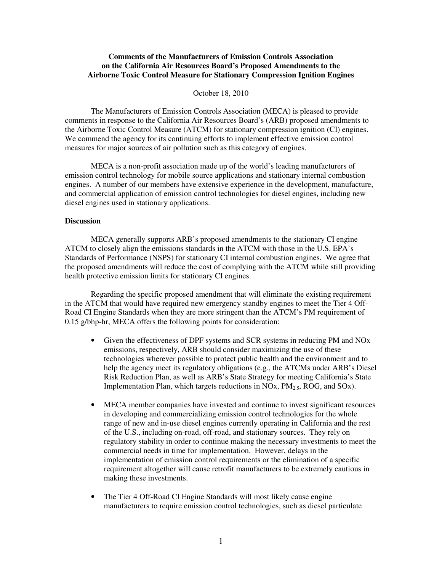# **Comments of the Manufacturers of Emission Controls Association on the California Air Resources Board's Proposed Amendments to the Airborne Toxic Control Measure for Stationary Compression Ignition Engines**

## October 18, 2010

The Manufacturers of Emission Controls Association (MECA) is pleased to provide comments in response to the California Air Resources Board's (ARB) proposed amendments to the Airborne Toxic Control Measure (ATCM) for stationary compression ignition (CI) engines. We commend the agency for its continuing efforts to implement effective emission control measures for major sources of air pollution such as this category of engines.

MECA is a non-profit association made up of the world's leading manufacturers of emission control technology for mobile source applications and stationary internal combustion engines. A number of our members have extensive experience in the development, manufacture, and commercial application of emission control technologies for diesel engines, including new diesel engines used in stationary applications.

#### **Discussion**

 MECA generally supports ARB's proposed amendments to the stationary CI engine ATCM to closely align the emissions standards in the ATCM with those in the U.S. EPA's Standards of Performance (NSPS) for stationary CI internal combustion engines. We agree that the proposed amendments will reduce the cost of complying with the ATCM while still providing health protective emission limits for stationary CI engines.

 Regarding the specific proposed amendment that will eliminate the existing requirement in the ATCM that would have required new emergency standby engines to meet the Tier 4 Off-Road CI Engine Standards when they are more stringent than the ATCM's PM requirement of 0.15 g/bhp-hr, MECA offers the following points for consideration:

- Given the effectiveness of DPF systems and SCR systems in reducing PM and NOx emissions, respectively, ARB should consider maximizing the use of these technologies wherever possible to protect public health and the environment and to help the agency meet its regulatory obligations (e.g., the ATCMs under ARB's Diesel Risk Reduction Plan, as well as ARB's State Strategy for meeting California's State Implementation Plan, which targets reductions in NOx,  $PM_{2.5}$ , ROG, and SOx).
- MECA member companies have invested and continue to invest significant resources in developing and commercializing emission control technologies for the whole range of new and in-use diesel engines currently operating in California and the rest of the U.S., including on-road, off-road, and stationary sources. They rely on regulatory stability in order to continue making the necessary investments to meet the commercial needs in time for implementation. However, delays in the implementation of emission control requirements or the elimination of a specific requirement altogether will cause retrofit manufacturers to be extremely cautious in making these investments.
- The Tier 4 Off-Road CI Engine Standards will most likely cause engine manufacturers to require emission control technologies, such as diesel particulate